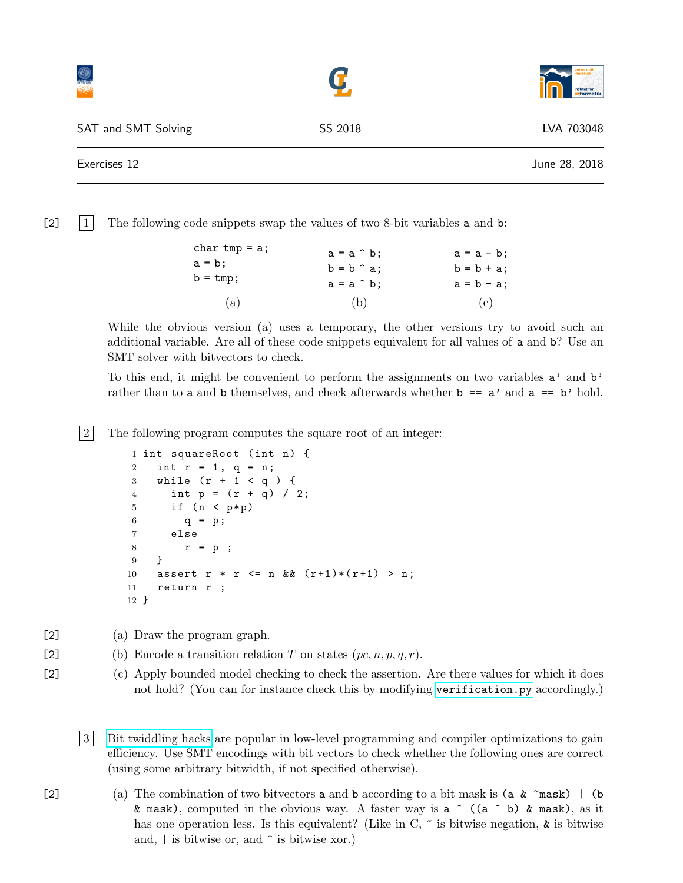|                     |         | institut für<br>informatik |
|---------------------|---------|----------------------------|
| SAT and SMT Solving | SS 2018 | LVA 703048                 |
| Exercises 12        |         | June 28, 2018              |

 $\begin{bmatrix} 2 \end{bmatrix}$  The following code snippets swap the values of two 8-bit variables a and b:

| char $tmp = a;$   | $a = a \hat{b}$ ; | $a = a - b;$ |
|-------------------|-------------------|--------------|
| $a = b;$          | $b = b \hat{a}$ ; | $b = b + a;$ |
| $b = \text{tmp};$ | $a = a \hat{b}$ ; | $a = b - a;$ |
| (a)               | (b)               | (c)          |

While the obvious version (a) uses a temporary, the other versions try to avoid such an additional variable. Are all of these code snippets equivalent for all values of a and b? Use an SMT solver with bitvectors to check.

To this end, it might be convenient to perform the assignments on two variables a' and b' rather than to a and b themselves, and check afterwards whether  $b == a'$  and  $a == b'$  hold.

2 The following program computes the square root of an integer:

```
1 int squareRoot (int n) {
2 int r = 1, q = n;
3 while (r + 1 < q) {
4 int p = (r + q) / 2;5 if (n < p*p)6 q = p;7 else
8 \t r = p ;9 }
10 assert r * r \leq n \& (r+1)*(r+1) > n;
11 return r ;
12 }
```
[2] (a) Draw the program graph.

- [2] (b) Encode a transition relation T on states  $(pc, n, p, q, r)$ .
- [2] (c) Apply bounded model checking to check the assertion. Are there values for which it does not hold? (You can for instance check this by modifying [verification.py](http://cl-informatik.uibk.ac.at/teaching/ss18/satsmt/sources/verification.py) accordingly.)

3 [Bit twiddling hacks](https://graphics.stanford.edu/~seander/bithacks.html) are popular in low-level programming and compiler optimizations to gain efficiency. Use SMT encodings with bit vectors to check whether the following ones are correct (using some arbitrary bitwidth, if not specified otherwise).

[2] (a) The combination of two bitvectors a and b according to a bit mask is (a  $\&$   $\sim$  mask) | (b) & mask), computed in the obvious way. A faster way is  $a \uparrow$  (( $a \uparrow b$ ) & mask), as it has one operation less. Is this equivalent? (Like in C,  $\tilde{\ }$  is bitwise negation,  $\tilde{\ }$  is bitwise and,  $|$  is bitwise or, and  $\hat{\ }$  is bitwise xor.)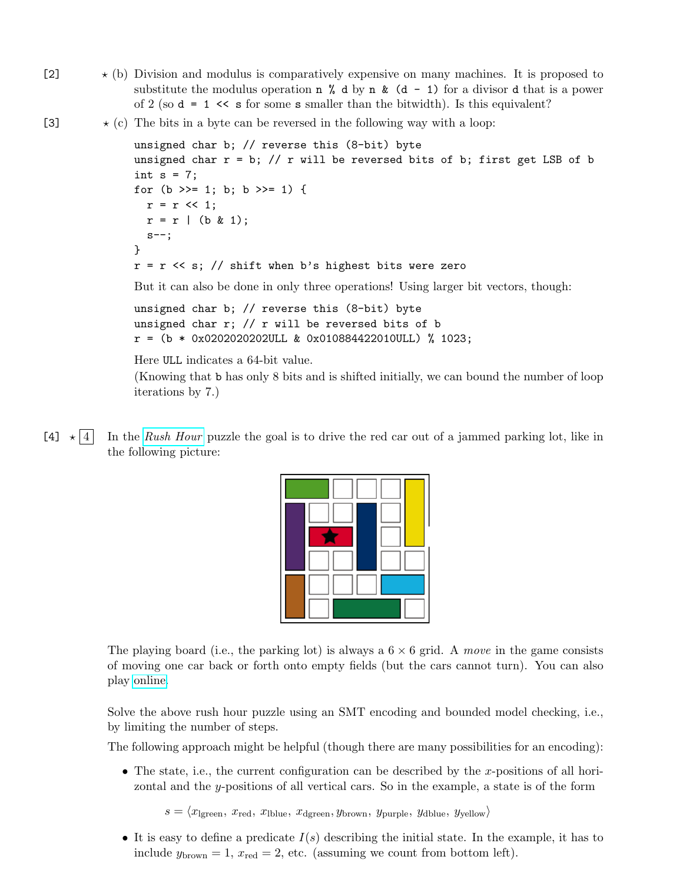- $\star$  (b) Division and modulus is comparatively expensive on many machines. It is proposed to substitute the modulus operation  $n \times d$  by  $n \times (d - 1)$  for a divisor d that is a power of 2 (so  $d = 1 \ll s$  for some s smaller than the bitwidth). Is this equivalent?
- [3]  $\star$  (c) The bits in a byte can be reversed in the following way with a loop:

iterations by 7.)

```
unsigned char b; // reverse this (8-bit) byte
unsigned char r = b; // r will be reversed bits of b; first get LSB of b
int s = 7;
for (b \gg= 1; b; b \gg= 1) {
 r = r \ll 1;
 r = r | (b & 1);
  s--;
}
r = r \ll s; // shift when b's highest bits were zero
But it can also be done in only three operations! Using larger bit vectors, though:
unsigned char b; // reverse this (8-bit) byte
unsigned char r; // r will be reversed bits of b
r = (b * 0x020202020201L \& 0x0108844220100L) % 1023;
Here ULL indicates a 64-bit value.
(Knowing that b has only 8 bits and is shifted initially, we can bound the number of loop
```
 $[4] \star |4$  In the [Rush Hour](https://en.wikipedia.org/wiki/Rush_Hour_(puzzle)) puzzle the goal is to drive the red car out of a jammed parking lot, like in the following picture:



The playing board (i.e., the parking lot) is always a  $6 \times 6$  grid. A move in the game consists of moving one car back or forth onto empty fields (but the cars cannot turn). You can also play [online.](https://www.thinkfun.com/play-online/rush-hour/)

Solve the above rush hour puzzle using an SMT encoding and bounded model checking, i.e., by limiting the number of steps.

The following approach might be helpful (though there are many possibilities for an encoding):

• The state, i.e., the current configuration can be described by the x-positions of all horizontal and the  $y$ -positions of all vertical cars. So in the example, a state is of the form

 $s = \langle x_{\text{lgreen}}, x_{\text{red}}, x_{\text{lblue}}, x_{\text{dgreen}}, y_{\text{brown}}, y_{\text{purple}}, y_{\text{dblue}}, y_{\text{yellow}} \rangle$ 

• It is easy to define a predicate  $I(s)$  describing the initial state. In the example, it has to include  $y_{\text{brown}} = 1$ ,  $x_{\text{red}} = 2$ , etc. (assuming we count from bottom left).